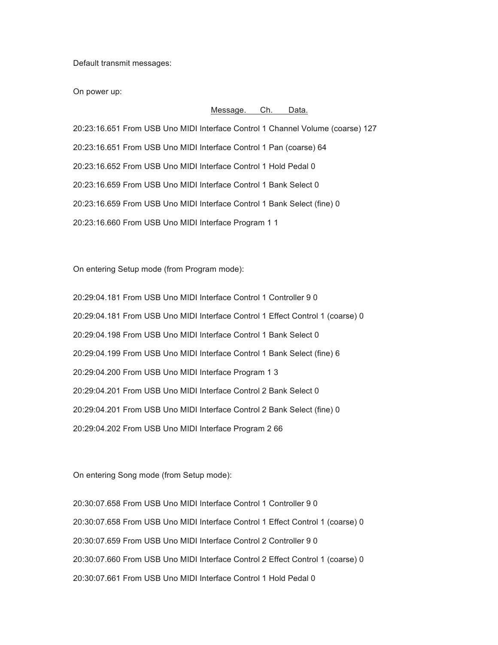Default transmit messages:

On power up:

## Message. Ch. Data.

20:23:16.651 From USB Uno MIDI Interface Control 1 Channel Volume (coarse) 127 20:23:16.651 From USB Uno MIDI Interface Control 1 Pan (coarse) 64 20:23:16.652 From USB Uno MIDI Interface Control 1 Hold Pedal 0 20:23:16.659 From USB Uno MIDI Interface Control 1 Bank Select 0 20:23:16.659 From USB Uno MIDI Interface Control 1 Bank Select (fine) 0 20:23:16.660 From USB Uno MIDI Interface Program 1 1

On entering Setup mode (from Program mode):

| 20:29:04.181 From USB Uno MIDI Interface Control 1 Controller 9 0              |
|--------------------------------------------------------------------------------|
| 20:29:04.181 From USB Uno MIDI Interface Control 1 Effect Control 1 (coarse) 0 |
| 20:29:04.198 From USB Uno MIDI Interface Control 1 Bank Select 0               |
| 20:29:04.199 From USB Uno MIDI Interface Control 1 Bank Select (fine) 6        |
| 20:29:04.200 From USB Uno MIDI Interface Program 1 3                           |
| 20:29:04.201 From USB Uno MIDI Interface Control 2 Bank Select 0               |
| 20:29:04.201 From USB Uno MIDI Interface Control 2 Bank Select (fine) 0        |
| 20:29:04.202 From USB Uno MIDI Interface Program 2 66                          |

On entering Song mode (from Setup mode):

20:30:07.658 From USB Uno MIDI Interface Control 1 Controller 9 0 20:30:07.658 From USB Uno MIDI Interface Control 1 Effect Control 1 (coarse) 0 20:30:07.659 From USB Uno MIDI Interface Control 2 Controller 9 0 20:30:07.660 From USB Uno MIDI Interface Control 2 Effect Control 1 (coarse) 0 20:30:07.661 From USB Uno MIDI Interface Control 1 Hold Pedal 0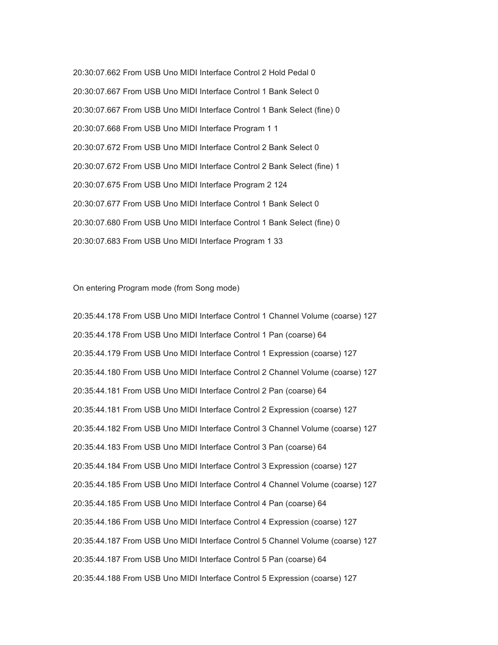20:30:07.662 From USB Uno MIDI Interface Control 2 Hold Pedal 0 20:30:07.667 From USB Uno MIDI Interface Control 1 Bank Select 0 20:30:07.667 From USB Uno MIDI Interface Control 1 Bank Select (fine) 0 20:30:07.668 From USB Uno MIDI Interface Program 1 1 20:30:07.672 From USB Uno MIDI Interface Control 2 Bank Select 0 20:30:07.672 From USB Uno MIDI Interface Control 2 Bank Select (fine) 1 20:30:07.675 From USB Uno MIDI Interface Program 2 124 20:30:07.677 From USB Uno MIDI Interface Control 1 Bank Select 0 20:30:07.680 From USB Uno MIDI Interface Control 1 Bank Select (fine) 0 20:30:07.683 From USB Uno MIDI Interface Program 1 33

## On entering Program mode (from Song mode)

20:35:44.178 From USB Uno MIDI Interface Control 1 Channel Volume (coarse) 127 20:35:44.178 From USB Uno MIDI Interface Control 1 Pan (coarse) 64 20:35:44.179 From USB Uno MIDI Interface Control 1 Expression (coarse) 127 20:35:44.180 From USB Uno MIDI Interface Control 2 Channel Volume (coarse) 127 20:35:44.181 From USB Uno MIDI Interface Control 2 Pan (coarse) 64 20:35:44.181 From USB Uno MIDI Interface Control 2 Expression (coarse) 127 20:35:44.182 From USB Uno MIDI Interface Control 3 Channel Volume (coarse) 127 20:35:44.183 From USB Uno MIDI Interface Control 3 Pan (coarse) 64 20:35:44.184 From USB Uno MIDI Interface Control 3 Expression (coarse) 127 20:35:44.185 From USB Uno MIDI Interface Control 4 Channel Volume (coarse) 127 20:35:44.185 From USB Uno MIDI Interface Control 4 Pan (coarse) 64 20:35:44.186 From USB Uno MIDI Interface Control 4 Expression (coarse) 127 20:35:44.187 From USB Uno MIDI Interface Control 5 Channel Volume (coarse) 127 20:35:44.187 From USB Uno MIDI Interface Control 5 Pan (coarse) 64 20:35:44.188 From USB Uno MIDI Interface Control 5 Expression (coarse) 127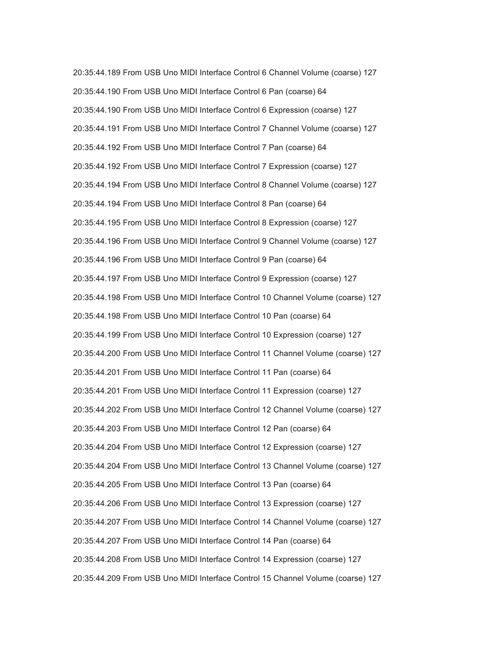20:35:44.189 From USB Uno MIDI Interface Control 6 Channel Volume (coarse) 127 20:35:44.190 From USB Uno MIDI Interface Control 6 Pan (coarse) 64 20:35:44.190 From USB Uno MIDI Interface Control 6 Expression (coarse) 127 20:35:44.191 From USB Uno MIDI Interface Control 7 Channel Volume (coarse) 127 20:35:44.192 From USB Uno MIDI Interface Control 7 Pan (coarse) 64 20:35:44.192 From USB Uno MIDI Interface Control 7 Expression (coarse) 127 20:35:44.194 From USB Uno MIDI Interface Control 8 Channel Volume (coarse) 127 20:35:44.194 From USB Uno MIDI Interface Control 8 Pan (coarse) 64 20:35:44.195 From USB Uno MIDI Interface Control 8 Expression (coarse) 127 20:35:44.196 From USB Uno MIDI Interface Control 9 Channel Volume (coarse) 127 20:35:44.196 From USB Uno MIDI Interface Control 9 Pan (coarse) 64 20:35:44.197 From USB Uno MIDI Interface Control 9 Expression (coarse) 127 20:35:44.198 From USB Uno MIDI Interface Control 10 Channel Volume (coarse) 127 20:35:44.198 From USB Uno MIDI Interface Control 10 Pan (coarse) 64 20:35:44.199 From USB Uno MIDI Interface Control 10 Expression (coarse) 127 20:35:44.200 From USB Uno MIDI Interface Control 11 Channel Volume (coarse) 127 20:35:44.201 From USB Uno MIDI Interface Control 11 Pan (coarse) 64 20:35:44.201 From USB Uno MIDI Interface Control 11 Expression (coarse) 127 20:35:44.202 From USB Uno MIDI Interface Control 12 Channel Volume (coarse) 127 20:35:44.203 From USB Uno MIDI Interface Control 12 Pan (coarse) 64 20:35:44.204 From USB Uno MIDI Interface Control 12 Expression (coarse) 127 20:35:44.204 From USB Uno MIDI Interface Control 13 Channel Volume (coarse) 127 20:35:44.205 From USB Uno MIDI Interface Control 13 Pan (coarse) 64 20:35:44.206 From USB Uno MIDI Interface Control 13 Expression (coarse) 127 20:35:44.207 From USB Uno MIDI Interface Control 14 Channel Volume (coarse) 127 20:35:44.207 From USB Uno MIDI Interface Control 14 Pan (coarse) 64 20:35:44.208 From USB Uno MIDI Interface Control 14 Expression (coarse) 127 20:35:44.209 From USB Uno MIDI Interface Control 15 Channel Volume (coarse) 127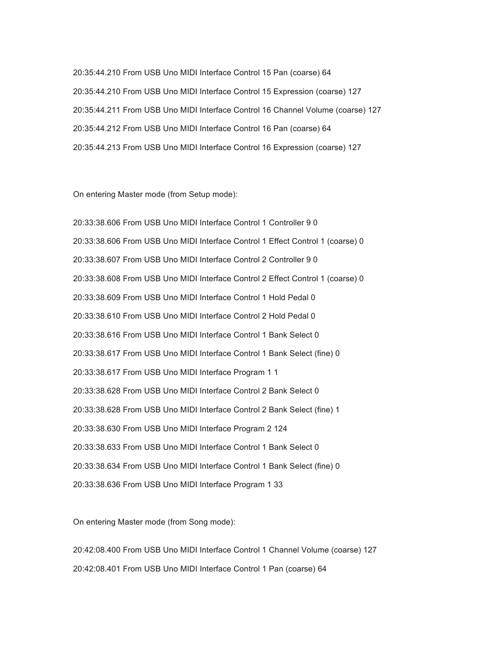20:35:44.210 From USB Uno MIDI Interface Control 15 Pan (coarse) 64 20:35:44.210 From USB Uno MIDI Interface Control 15 Expression (coarse) 127 20:35:44.211 From USB Uno MIDI Interface Control 16 Channel Volume (coarse) 127 20:35:44.212 From USB Uno MIDI Interface Control 16 Pan (coarse) 64 20:35:44.213 From USB Uno MIDI Interface Control 16 Expression (coarse) 127

On entering Master mode (from Setup mode):

20:33:38.606 From USB Uno MIDI Interface Control 1 Controller 9 0 20:33:38.606 From USB Uno MIDI Interface Control 1 Effect Control 1 (coarse) 0 20:33:38.607 From USB Uno MIDI Interface Control 2 Controller 9 0 20:33:38.608 From USB Uno MIDI Interface Control 2 Effect Control 1 (coarse) 0 20:33:38.609 From USB Uno MIDI Interface Control 1 Hold Pedal 0 20:33:38.610 From USB Uno MIDI Interface Control 2 Hold Pedal 0 20:33:38.616 From USB Uno MIDI Interface Control 1 Bank Select 0 20:33:38.617 From USB Uno MIDI Interface Control 1 Bank Select (fine) 0 20:33:38.617 From USB Uno MIDI Interface Program 1 1 20:33:38.628 From USB Uno MIDI Interface Control 2 Bank Select 0 20:33:38.628 From USB Uno MIDI Interface Control 2 Bank Select (fine) 1 20:33:38.630 From USB Uno MIDI Interface Program 2 124 20:33:38.633 From USB Uno MIDI Interface Control 1 Bank Select 0 20:33:38.634 From USB Uno MIDI Interface Control 1 Bank Select (fine) 0 20:33:38.636 From USB Uno MIDI Interface Program 1 33

On entering Master mode (from Song mode):

20:42:08.400 From USB Uno MIDI Interface Control 1 Channel Volume (coarse) 127 20:42:08.401 From USB Uno MIDI Interface Control 1 Pan (coarse) 64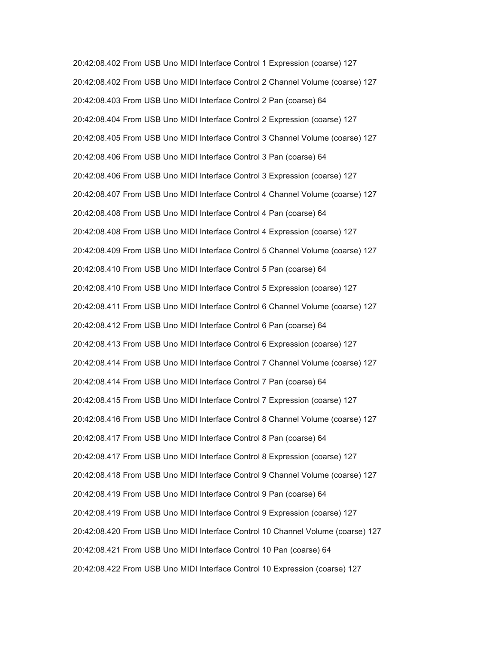20:42:08.402 From USB Uno MIDI Interface Control 1 Expression (coarse) 127 20:42:08.402 From USB Uno MIDI Interface Control 2 Channel Volume (coarse) 127 20:42:08.403 From USB Uno MIDI Interface Control 2 Pan (coarse) 64 20:42:08.404 From USB Uno MIDI Interface Control 2 Expression (coarse) 127 20:42:08.405 From USB Uno MIDI Interface Control 3 Channel Volume (coarse) 127 20:42:08.406 From USB Uno MIDI Interface Control 3 Pan (coarse) 64 20:42:08.406 From USB Uno MIDI Interface Control 3 Expression (coarse) 127 20:42:08.407 From USB Uno MIDI Interface Control 4 Channel Volume (coarse) 127 20:42:08.408 From USB Uno MIDI Interface Control 4 Pan (coarse) 64 20:42:08.408 From USB Uno MIDI Interface Control 4 Expression (coarse) 127 20:42:08.409 From USB Uno MIDI Interface Control 5 Channel Volume (coarse) 127 20:42:08.410 From USB Uno MIDI Interface Control 5 Pan (coarse) 64 20:42:08.410 From USB Uno MIDI Interface Control 5 Expression (coarse) 127 20:42:08.411 From USB Uno MIDI Interface Control 6 Channel Volume (coarse) 127 20:42:08.412 From USB Uno MIDI Interface Control 6 Pan (coarse) 64 20:42:08.413 From USB Uno MIDI Interface Control 6 Expression (coarse) 127 20:42:08.414 From USB Uno MIDI Interface Control 7 Channel Volume (coarse) 127 20:42:08.414 From USB Uno MIDI Interface Control 7 Pan (coarse) 64 20:42:08.415 From USB Uno MIDI Interface Control 7 Expression (coarse) 127 20:42:08.416 From USB Uno MIDI Interface Control 8 Channel Volume (coarse) 127 20:42:08.417 From USB Uno MIDI Interface Control 8 Pan (coarse) 64 20:42:08.417 From USB Uno MIDI Interface Control 8 Expression (coarse) 127 20:42:08.418 From USB Uno MIDI Interface Control 9 Channel Volume (coarse) 127 20:42:08.419 From USB Uno MIDI Interface Control 9 Pan (coarse) 64 20:42:08.419 From USB Uno MIDI Interface Control 9 Expression (coarse) 127 20:42:08.420 From USB Uno MIDI Interface Control 10 Channel Volume (coarse) 127 20:42:08.421 From USB Uno MIDI Interface Control 10 Pan (coarse) 64 20:42:08.422 From USB Uno MIDI Interface Control 10 Expression (coarse) 127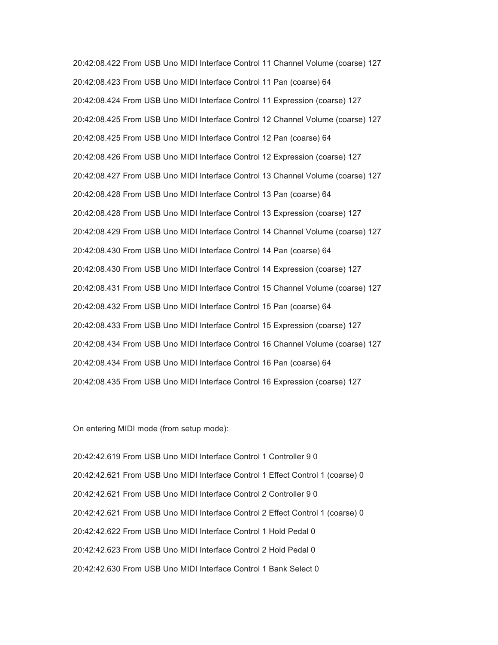20:42:08.422 From USB Uno MIDI Interface Control 11 Channel Volume (coarse) 127 20:42:08.423 From USB Uno MIDI Interface Control 11 Pan (coarse) 64 20:42:08.424 From USB Uno MIDI Interface Control 11 Expression (coarse) 127 20:42:08.425 From USB Uno MIDI Interface Control 12 Channel Volume (coarse) 127 20:42:08.425 From USB Uno MIDI Interface Control 12 Pan (coarse) 64 20:42:08.426 From USB Uno MIDI Interface Control 12 Expression (coarse) 127 20:42:08.427 From USB Uno MIDI Interface Control 13 Channel Volume (coarse) 127 20:42:08.428 From USB Uno MIDI Interface Control 13 Pan (coarse) 64 20:42:08.428 From USB Uno MIDI Interface Control 13 Expression (coarse) 127 20:42:08.429 From USB Uno MIDI Interface Control 14 Channel Volume (coarse) 127 20:42:08.430 From USB Uno MIDI Interface Control 14 Pan (coarse) 64 20:42:08.430 From USB Uno MIDI Interface Control 14 Expression (coarse) 127 20:42:08.431 From USB Uno MIDI Interface Control 15 Channel Volume (coarse) 127 20:42:08.432 From USB Uno MIDI Interface Control 15 Pan (coarse) 64 20:42:08.433 From USB Uno MIDI Interface Control 15 Expression (coarse) 127 20:42:08.434 From USB Uno MIDI Interface Control 16 Channel Volume (coarse) 127 20:42:08.434 From USB Uno MIDI Interface Control 16 Pan (coarse) 64 20:42:08.435 From USB Uno MIDI Interface Control 16 Expression (coarse) 127

On entering MIDI mode (from setup mode):

20:42:42.619 From USB Uno MIDI Interface Control 1 Controller 9 0 20:42:42.621 From USB Uno MIDI Interface Control 1 Effect Control 1 (coarse) 0 20:42:42.621 From USB Uno MIDI Interface Control 2 Controller 9 0 20:42:42.621 From USB Uno MIDI Interface Control 2 Effect Control 1 (coarse) 0 20:42:42.622 From USB Uno MIDI Interface Control 1 Hold Pedal 0 20:42:42.623 From USB Uno MIDI Interface Control 2 Hold Pedal 0 20:42:42.630 From USB Uno MIDI Interface Control 1 Bank Select 0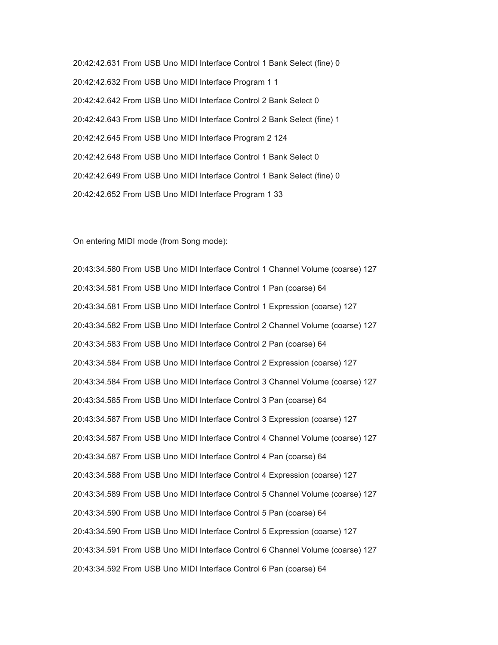20:42:42.631 From USB Uno MIDI Interface Control 1 Bank Select (fine) 0 20:42:42.632 From USB Uno MIDI Interface Program 1 1 20:42:42.642 From USB Uno MIDI Interface Control 2 Bank Select 0 20:42:42.643 From USB Uno MIDI Interface Control 2 Bank Select (fine) 1 20:42:42.645 From USB Uno MIDI Interface Program 2 124 20:42:42.648 From USB Uno MIDI Interface Control 1 Bank Select 0 20:42:42.649 From USB Uno MIDI Interface Control 1 Bank Select (fine) 0 20:42:42.652 From USB Uno MIDI Interface Program 1 33

On entering MIDI mode (from Song mode):

20:43:34.580 From USB Uno MIDI Interface Control 1 Channel Volume (coarse) 127 20:43:34.581 From USB Uno MIDI Interface Control 1 Pan (coarse) 64 20:43:34.581 From USB Uno MIDI Interface Control 1 Expression (coarse) 127 20:43:34.582 From USB Uno MIDI Interface Control 2 Channel Volume (coarse) 127 20:43:34.583 From USB Uno MIDI Interface Control 2 Pan (coarse) 64 20:43:34.584 From USB Uno MIDI Interface Control 2 Expression (coarse) 127 20:43:34.584 From USB Uno MIDI Interface Control 3 Channel Volume (coarse) 127 20:43:34.585 From USB Uno MIDI Interface Control 3 Pan (coarse) 64 20:43:34.587 From USB Uno MIDI Interface Control 3 Expression (coarse) 127 20:43:34.587 From USB Uno MIDI Interface Control 4 Channel Volume (coarse) 127 20:43:34.587 From USB Uno MIDI Interface Control 4 Pan (coarse) 64 20:43:34.588 From USB Uno MIDI Interface Control 4 Expression (coarse) 127 20:43:34.589 From USB Uno MIDI Interface Control 5 Channel Volume (coarse) 127 20:43:34.590 From USB Uno MIDI Interface Control 5 Pan (coarse) 64 20:43:34.590 From USB Uno MIDI Interface Control 5 Expression (coarse) 127 20:43:34.591 From USB Uno MIDI Interface Control 6 Channel Volume (coarse) 127 20:43:34.592 From USB Uno MIDI Interface Control 6 Pan (coarse) 64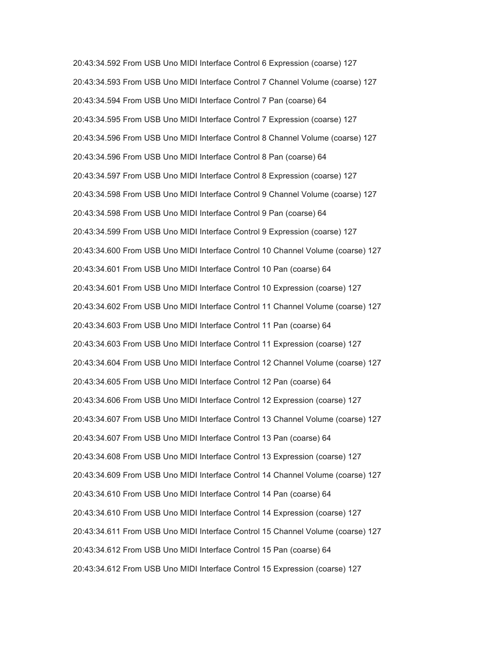20:43:34.592 From USB Uno MIDI Interface Control 6 Expression (coarse) 127 20:43:34.593 From USB Uno MIDI Interface Control 7 Channel Volume (coarse) 127 20:43:34.594 From USB Uno MIDI Interface Control 7 Pan (coarse) 64 20:43:34.595 From USB Uno MIDI Interface Control 7 Expression (coarse) 127 20:43:34.596 From USB Uno MIDI Interface Control 8 Channel Volume (coarse) 127 20:43:34.596 From USB Uno MIDI Interface Control 8 Pan (coarse) 64 20:43:34.597 From USB Uno MIDI Interface Control 8 Expression (coarse) 127 20:43:34.598 From USB Uno MIDI Interface Control 9 Channel Volume (coarse) 127 20:43:34.598 From USB Uno MIDI Interface Control 9 Pan (coarse) 64 20:43:34.599 From USB Uno MIDI Interface Control 9 Expression (coarse) 127 20:43:34.600 From USB Uno MIDI Interface Control 10 Channel Volume (coarse) 127 20:43:34.601 From USB Uno MIDI Interface Control 10 Pan (coarse) 64 20:43:34.601 From USB Uno MIDI Interface Control 10 Expression (coarse) 127 20:43:34.602 From USB Uno MIDI Interface Control 11 Channel Volume (coarse) 127 20:43:34.603 From USB Uno MIDI Interface Control 11 Pan (coarse) 64 20:43:34.603 From USB Uno MIDI Interface Control 11 Expression (coarse) 127 20:43:34.604 From USB Uno MIDI Interface Control 12 Channel Volume (coarse) 127 20:43:34.605 From USB Uno MIDI Interface Control 12 Pan (coarse) 64 20:43:34.606 From USB Uno MIDI Interface Control 12 Expression (coarse) 127 20:43:34.607 From USB Uno MIDI Interface Control 13 Channel Volume (coarse) 127 20:43:34.607 From USB Uno MIDI Interface Control 13 Pan (coarse) 64 20:43:34.608 From USB Uno MIDI Interface Control 13 Expression (coarse) 127 20:43:34.609 From USB Uno MIDI Interface Control 14 Channel Volume (coarse) 127 20:43:34.610 From USB Uno MIDI Interface Control 14 Pan (coarse) 64 20:43:34.610 From USB Uno MIDI Interface Control 14 Expression (coarse) 127 20:43:34.611 From USB Uno MIDI Interface Control 15 Channel Volume (coarse) 127 20:43:34.612 From USB Uno MIDI Interface Control 15 Pan (coarse) 64 20:43:34.612 From USB Uno MIDI Interface Control 15 Expression (coarse) 127